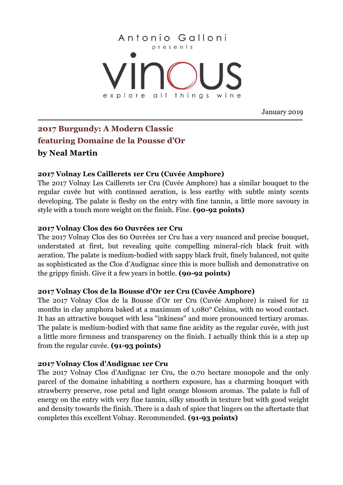

January 2019

# **2017 Burgundy: A Modern Classic featuring Domaine de la Pousse d'Or by Neal Martin**

## **2017 Volnay Les Caillerets 1er Cru (Cuvée Amphore)**

The 2017 Volnay Les Caillerets 1er Cru (Cuvée Amphore) has a similar bouquet to the regular cuvée but with continued aeration, is less earthy with subtle minty scents developing. The palate is fleshy on the entry with fine tannin, a little more savoury in style with a touch more weight on the finish. Fine. **(90-92 points)**

## **2017 Volnay Clos des 60 Ouvrées 1er Cru**

The 2017 Volnay Clos des 60 Ouvrées 1er Cru has a very nuanced and precise bouquet, understated at first, but revealing quite compelling mineral-rich black fruit with aeration. The palate is medium-bodied with sappy black fruit, finely balanced, not quite as sophisticated as the Clos d'Audignac since this is more bullish and demonstrative on the grippy finish. Give it a few years in bottle. **(90-92 points)**

### **2017 Volnay Clos de la Bousse d'Or 1er Cru (Cuvée Amphore)**

The 2017 Volnay Clos de la Bousse d'Or 1er Cru (Cuvée Amphore) is raised for 12 months in clay amphora baked at a maximum of 1,080° Celsius, with no wood contact. It has an attractive bouquet with less "inkiness" and more pronounced tertiary aromas. The palate is medium-bodied with that same fine acidity as the regular cuvée, with just a little more firmness and transparency on the finish. I actually think this is a step up from the regular cuvée. **(91-93 points)**

### **2017 Volnay Clos d'Audignac 1er Cru**

The 2017 Volnay Clos d'Audignac 1er Cru, the 0.70 hectare monopole and the only parcel of the domaine inhabiting a northern exposure, has a charming bouquet with strawberry preserve, rose petal and light orange blossom aromas. The palate is full of energy on the entry with very fine tannin, silky smooth in texture but with good weight and density towards the finish. There is a dash of spice that lingers on the aftertaste that completes this excellent Volnay. Recommended. **(91-93 points)**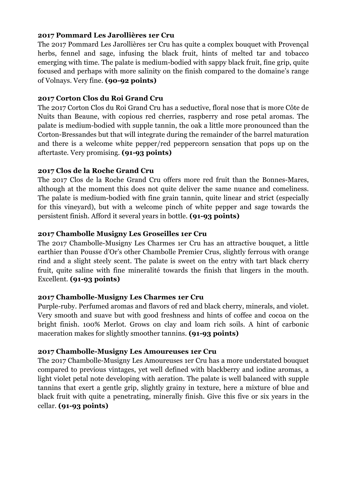#### **2017 Pommard Les Jarollières 1er Cru**

The 2017 Pommard Les Jarollières 1er Cru has quite a complex bouquet with Provençal herbs, fennel and sage, infusing the black fruit, hints of melted tar and tobacco emerging with time. The palate is medium-bodied with sappy black fruit, fine grip, quite focused and perhaps with more salinity on the finish compared to the domaine's range of Volnays. Very fine. **(90-92 points)**

### **2017 Corton Clos du Roi Grand Cru**

The 2017 Corton Clos du Roi Grand Cru has a seductive, floral nose that is more Côte de Nuits than Beaune, with copious red cherries, raspberry and rose petal aromas. The palate is medium-bodied with supple tannin, the oak a little more pronounced than the Corton-Bressandes but that will integrate during the remainder of the barrel maturation and there is a welcome white pepper/red peppercorn sensation that pops up on the aftertaste. Very promising. **(91-93 points)**

### **2017 Clos de la Roche Grand Cru**

The 2017 Clos de la Roche Grand Cru offers more red fruit than the Bonnes-Mares, although at the moment this does not quite deliver the same nuance and comeliness. The palate is medium-bodied with fine grain tannin, quite linear and strict (especially for this vineyard), but with a welcome pinch of white pepper and sage towards the persistent finish. Afford it several years in bottle. **(91-93 points)**

### **2017 Chambolle Musigny Les Groseilles 1er Cru**

The 2017 Chambolle-Musigny Les Charmes 1er Cru has an attractive bouquet, a little earthier than Pousse d'Or's other Chambolle Premier Crus, slightly ferrous with orange rind and a slight steely scent. The palate is sweet on the entry with tart black cherry fruit, quite saline with fine mineralité towards the finish that lingers in the mouth. Excellent. **(91-93 points)**

### **2017 Chambolle-Musigny Les Charmes 1er Cru**

Purple-ruby. Perfumed aromas and flavors of red and black cherry, minerals, and violet. Very smooth and suave but with good freshness and hints of coffee and cocoa on the bright finish. 100% Merlot. Grows on clay and loam rich soils. A hint of carbonic maceration makes for slightly smoother tannins. **(91-93 points)**

### **2017 Chambolle-Musigny Les Amoureuses 1er Cru**

The 2017 Chambolle-Musigny Les Amoureuses 1er Cru has a more understated bouquet compared to previous vintages, yet well defined with blackberry and iodine aromas, a light violet petal note developing with aeration. The palate is well balanced with supple tannins that exert a gentle grip, slightly grainy in texture, here a mixture of blue and black fruit with quite a penetrating, minerally finish. Give this five or six years in the cellar. **(91-93 points)**